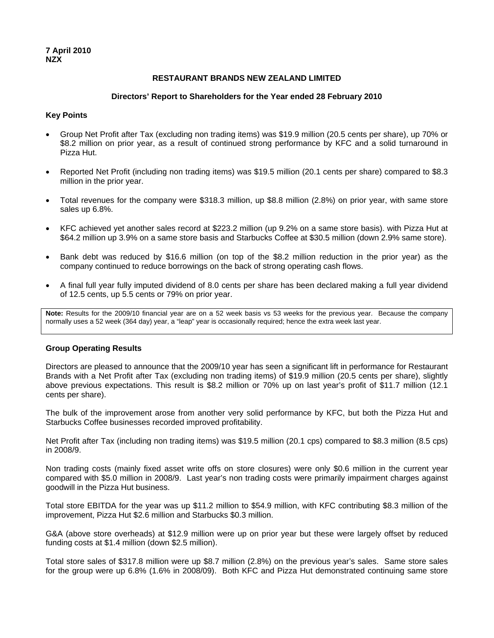## **RESTAURANT BRANDS NEW ZEALAND LIMITED**

#### **Directors' Report to Shareholders for the Year ended 28 February 2010**

## **Key Points**

- Group Net Profit after Tax (excluding non trading items) was \$19.9 million (20.5 cents per share), up 70% or \$8.2 million on prior year, as a result of continued strong performance by KFC and a solid turnaround in Pizza Hut.
- Reported Net Profit (including non trading items) was \$19.5 million (20.1 cents per share) compared to \$8.3 million in the prior year.
- Total revenues for the company were \$318.3 million, up \$8.8 million (2.8%) on prior year, with same store sales up 6.8%.
- KFC achieved yet another sales record at \$223.2 million (up 9.2% on a same store basis). with Pizza Hut at \$64.2 million up 3.9% on a same store basis and Starbucks Coffee at \$30.5 million (down 2.9% same store).
- Bank debt was reduced by \$16.6 million (on top of the \$8.2 million reduction in the prior year) as the company continued to reduce borrowings on the back of strong operating cash flows.
- A final full year fully imputed dividend of 8.0 cents per share has been declared making a full year dividend of 12.5 cents, up 5.5 cents or 79% on prior year.

**Note:** Results for the 2009/10 financial year are on a 52 week basis vs 53 weeks for the previous year. Because the company normally uses a 52 week (364 day) year, a "leap" year is occasionally required; hence the extra week last year.

## **Group Operating Results**

Directors are pleased to announce that the 2009/10 year has seen a significant lift in performance for Restaurant Brands with a Net Profit after Tax (excluding non trading items) of \$19.9 million (20.5 cents per share), slightly above previous expectations. This result is \$8.2 million or 70% up on last year's profit of \$11.7 million (12.1 cents per share).

The bulk of the improvement arose from another very solid performance by KFC, but both the Pizza Hut and Starbucks Coffee businesses recorded improved profitability.

Net Profit after Tax (including non trading items) was \$19.5 million (20.1 cps) compared to \$8.3 million (8.5 cps) in 2008/9.

Non trading costs (mainly fixed asset write offs on store closures) were only \$0.6 million in the current year compared with \$5.0 million in 2008/9. Last year's non trading costs were primarily impairment charges against goodwill in the Pizza Hut business.

Total store EBITDA for the year was up \$11.2 million to \$54.9 million, with KFC contributing \$8.3 million of the improvement, Pizza Hut \$2.6 million and Starbucks \$0.3 million.

G&A (above store overheads) at \$12.9 million were up on prior year but these were largely offset by reduced funding costs at \$1.4 million (down \$2.5 million).

Total store sales of \$317.8 million were up \$8.7 million (2.8%) on the previous year's sales. Same store sales for the group were up 6.8% (1.6% in 2008/09). Both KFC and Pizza Hut demonstrated continuing same store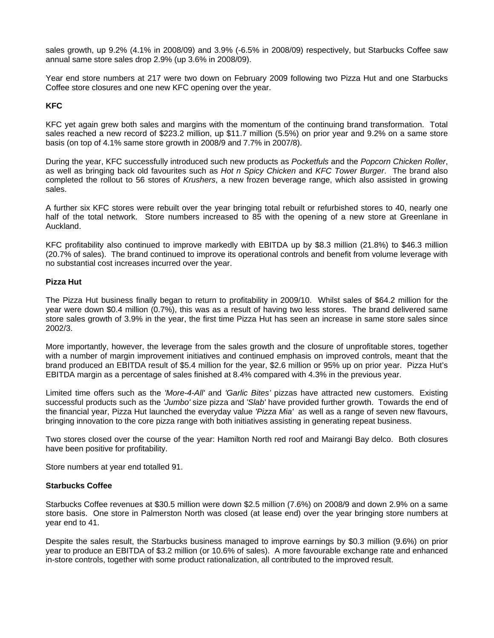sales growth, up 9.2% (4.1% in 2008/09) and 3.9% (-6.5% in 2008/09) respectively, but Starbucks Coffee saw annual same store sales drop 2.9% (up 3.6% in 2008/09).

Year end store numbers at 217 were two down on February 2009 following two Pizza Hut and one Starbucks Coffee store closures and one new KFC opening over the year.

# **KFC**

KFC yet again grew both sales and margins with the momentum of the continuing brand transformation. Total sales reached a new record of \$223.2 million, up \$11.7 million (5.5%) on prior year and 9.2% on a same store basis (on top of 4.1% same store growth in 2008/9 and 7.7% in 2007/8).

During the year, KFC successfully introduced such new products as *Pocketfuls* and the *Popcorn Chicken Roller*, as well as bringing back old favourites such as *Hot n Spicy Chicken* and *KFC Tower Burger*. The brand also completed the rollout to 56 stores of *Krushers*, a new frozen beverage range, which also assisted in growing sales.

A further six KFC stores were rebuilt over the year bringing total rebuilt or refurbished stores to 40, nearly one half of the total network. Store numbers increased to 85 with the opening of a new store at Greenlane in Auckland.

KFC profitability also continued to improve markedly with EBITDA up by \$8.3 million (21.8%) to \$46.3 million (20.7% of sales). The brand continued to improve its operational controls and benefit from volume leverage with no substantial cost increases incurred over the year.

## **Pizza Hut**

The Pizza Hut business finally began to return to profitability in 2009/10. Whilst sales of \$64.2 million for the year were down \$0.4 million (0.7%), this was as a result of having two less stores. The brand delivered same store sales growth of 3.9% in the year, the first time Pizza Hut has seen an increase in same store sales since 2002/3.

More importantly, however, the leverage from the sales growth and the closure of unprofitable stores, together with a number of margin improvement initiatives and continued emphasis on improved controls, meant that the brand produced an EBITDA result of \$5.4 million for the year, \$2.6 million or 95% up on prior year. Pizza Hut's EBITDA margin as a percentage of sales finished at 8.4% compared with 4.3% in the previous year.

Limited time offers such as the *'More-4-All'* and *'Garlic Bites'* pizzas have attracted new customers. Existing successful products such as the *'Jumbo'* size pizza and *'Slab'* have provided further growth. Towards the end of the financial year, Pizza Hut launched the everyday value *'Pizza Mia'* as well as a range of seven new flavours, bringing innovation to the core pizza range with both initiatives assisting in generating repeat business.

Two stores closed over the course of the year: Hamilton North red roof and Mairangi Bay delco. Both closures have been positive for profitability.

Store numbers at year end totalled 91.

## **Starbucks Coffee**

Starbucks Coffee revenues at \$30.5 million were down \$2.5 million (7.6%) on 2008/9 and down 2.9% on a same store basis. One store in Palmerston North was closed (at lease end) over the year bringing store numbers at year end to 41.

Despite the sales result, the Starbucks business managed to improve earnings by \$0.3 million (9.6%) on prior year to produce an EBITDA of \$3.2 million (or 10.6% of sales). A more favourable exchange rate and enhanced in-store controls, together with some product rationalization, all contributed to the improved result.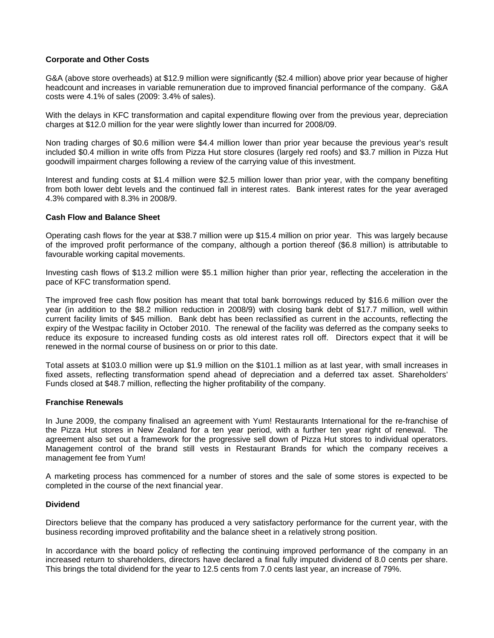## **Corporate and Other Costs**

G&A (above store overheads) at \$12.9 million were significantly (\$2.4 million) above prior year because of higher headcount and increases in variable remuneration due to improved financial performance of the company. G&A costs were 4.1% of sales (2009: 3.4% of sales).

With the delays in KFC transformation and capital expenditure flowing over from the previous year, depreciation charges at \$12.0 million for the year were slightly lower than incurred for 2008/09.

Non trading charges of \$0.6 million were \$4.4 million lower than prior year because the previous year's result included \$0.4 million in write offs from Pizza Hut store closures (largely red roofs) and \$3.7 million in Pizza Hut goodwill impairment charges following a review of the carrying value of this investment.

Interest and funding costs at \$1.4 million were \$2.5 million lower than prior year, with the company benefiting from both lower debt levels and the continued fall in interest rates. Bank interest rates for the year averaged 4.3% compared with 8.3% in 2008/9.

## **Cash Flow and Balance Sheet**

Operating cash flows for the year at \$38.7 million were up \$15.4 million on prior year. This was largely because of the improved profit performance of the company, although a portion thereof (\$6.8 million) is attributable to favourable working capital movements.

Investing cash flows of \$13.2 million were \$5.1 million higher than prior year, reflecting the acceleration in the pace of KFC transformation spend.

The improved free cash flow position has meant that total bank borrowings reduced by \$16.6 million over the year (in addition to the \$8.2 million reduction in 2008/9) with closing bank debt of \$17.7 million, well within current facility limits of \$45 million. Bank debt has been reclassified as current in the accounts, reflecting the expiry of the Westpac facility in October 2010. The renewal of the facility was deferred as the company seeks to reduce its exposure to increased funding costs as old interest rates roll off. Directors expect that it will be renewed in the normal course of business on or prior to this date.

Total assets at \$103.0 million were up \$1.9 million on the \$101.1 million as at last year, with small increases in fixed assets, reflecting transformation spend ahead of depreciation and a deferred tax asset. Shareholders' Funds closed at \$48.7 million, reflecting the higher profitability of the company.

#### **Franchise Renewals**

In June 2009, the company finalised an agreement with Yum! Restaurants International for the re-franchise of the Pizza Hut stores in New Zealand for a ten year period, with a further ten year right of renewal. The agreement also set out a framework for the progressive sell down of Pizza Hut stores to individual operators. Management control of the brand still vests in Restaurant Brands for which the company receives a management fee from Yum!

A marketing process has commenced for a number of stores and the sale of some stores is expected to be completed in the course of the next financial year.

## **Dividend**

Directors believe that the company has produced a very satisfactory performance for the current year, with the business recording improved profitability and the balance sheet in a relatively strong position.

In accordance with the board policy of reflecting the continuing improved performance of the company in an increased return to shareholders, directors have declared a final fully imputed dividend of 8.0 cents per share. This brings the total dividend for the year to 12.5 cents from 7.0 cents last year, an increase of 79%.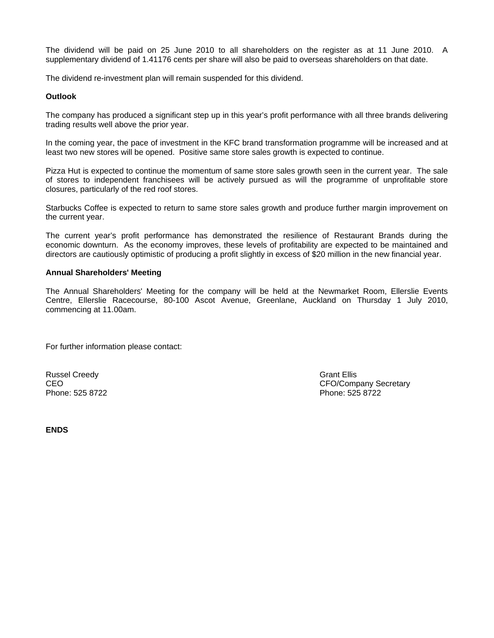The dividend will be paid on 25 June 2010 to all shareholders on the register as at 11 June 2010. A supplementary dividend of 1.41176 cents per share will also be paid to overseas shareholders on that date.

The dividend re-investment plan will remain suspended for this dividend.

## **Outlook**

The company has produced a significant step up in this year's profit performance with all three brands delivering trading results well above the prior year.

In the coming year, the pace of investment in the KFC brand transformation programme will be increased and at least two new stores will be opened. Positive same store sales growth is expected to continue.

Pizza Hut is expected to continue the momentum of same store sales growth seen in the current year. The sale of stores to independent franchisees will be actively pursued as will the programme of unprofitable store closures, particularly of the red roof stores.

Starbucks Coffee is expected to return to same store sales growth and produce further margin improvement on the current year.

The current year's profit performance has demonstrated the resilience of Restaurant Brands during the economic downturn. As the economy improves, these levels of profitability are expected to be maintained and directors are cautiously optimistic of producing a profit slightly in excess of \$20 million in the new financial year.

## **Annual Shareholders' Meeting**

The Annual Shareholders' Meeting for the company will be held at the Newmarket Room, Ellerslie Events Centre, Ellerslie Racecourse, 80-100 Ascot Avenue, Greenlane, Auckland on Thursday 1 July 2010, commencing at 11.00am.

For further information please contact:

Russel Creedy **Grant Ellis** Creedy **Grant Ellis** Phone: 525 8722 Phone: 525 8722

CEO CEO COMPANY Secretary CEO/Company Secretary

**ENDS**